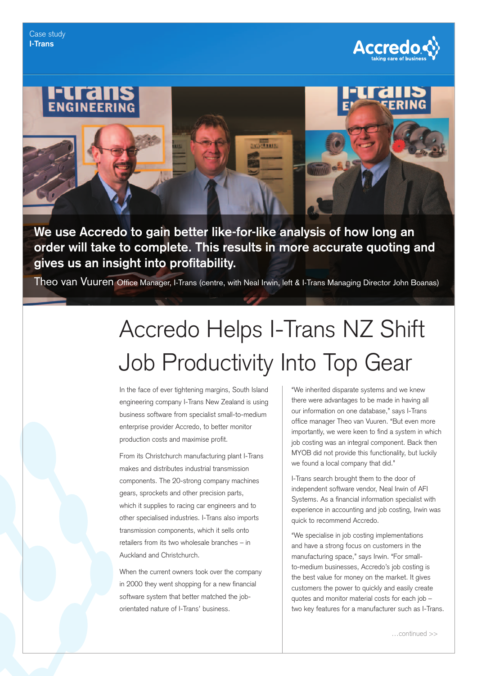



**We use Accredo to gain better like-for-like analysis of how long an order will take to complete. This results in more accurate quoting and**  gives us an insight into profitability.

Theo van Vuuren Office Manager, I-Trans (centre, with Neal Irwin, left & I-Trans Managing Director John Boanas)

## Accredo Helps I-Trans NZ Shift Job Productivity Into Top Gear

In the face of ever tightening margins, South Island engineering company I-Trans New Zealand is using business software from specialist small-to-medium enterprise provider Accredo, to better monitor production costs and maximise profit.

From its Christchurch manufacturing plant I-Trans makes and distributes industrial transmission components. The 20-strong company machines gears, sprockets and other precision parts, which it supplies to racing car engineers and to other specialised industries. I-Trans also imports transmission components, which it sells onto retailers from its two wholesale branches – in Auckland and Christchurch.

When the current owners took over the company in 2000 they went shopping for a new financial software system that better matched the joborientated nature of I-Trans' business.

"We inherited disparate systems and we knew there were advantages to be made in having all our information on one database," says I-Trans office manager Theo van Vuuren. "But even more importantly, we were keen to find a system in which job costing was an integral component. Back then MYOB did not provide this functionality, but luckily we found a local company that did."

I-Trans search brought them to the door of independent software vendor, Neal Irwin of AFI Systems. As a financial information specialist with experience in accounting and job costing, Irwin was quick to recommend Accredo.

"We specialise in job costing implementations and have a strong focus on customers in the manufacturing space," says Irwin. "For smallto-medium businesses, Accredo's job costing is the best value for money on the market. It gives customers the power to quickly and easily create quotes and monitor material costs for each job – two key features for a manufacturer such as I-Trans.